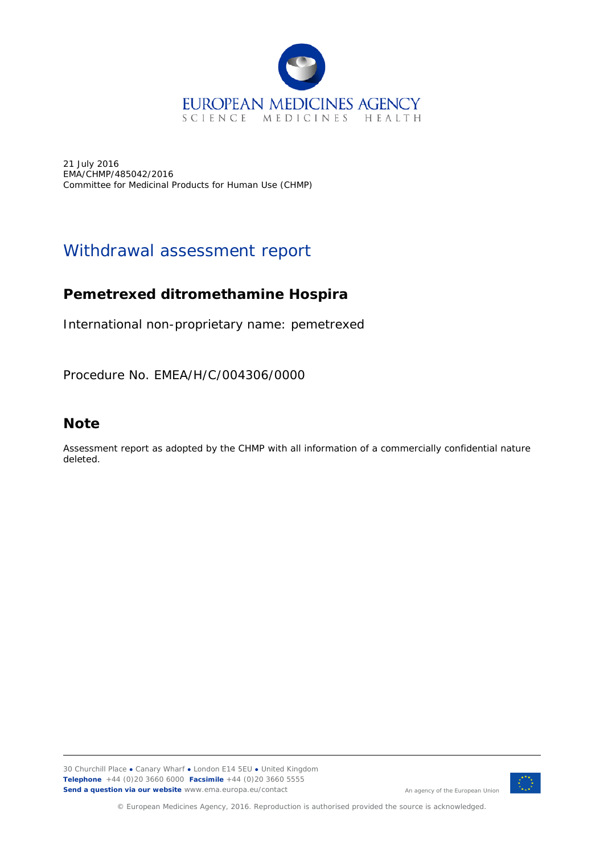

21 July 2016 EMA/CHMP/485042/2016 Committee for Medicinal Products for Human Use (CHMP)

# Withdrawal assessment report

# **Pemetrexed ditromethamine Hospira**

International non-proprietary name: pemetrexed

Procedure No. EMEA/H/C/004306/0000

# **Note**

Assessment report as adopted by the CHMP with all information of a commercially confidential nature deleted.

30 Churchill Place **●** Canary Wharf **●** London E14 5EU **●** United Kingdom **Telephone** +44 (0)20 3660 6000 **Facsimile** +44 (0)20 3660 5555 **Send a question via our website** www.ema.europa.eu/contact



© European Medicines Agency, 2016. Reproduction is authorised provided the source is acknowledged.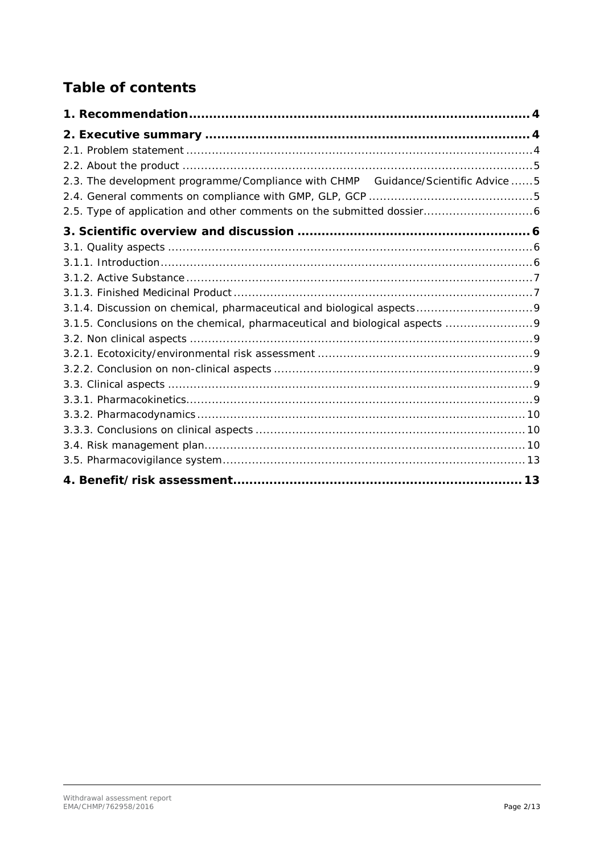# **Table of contents**

| 2.3. The development programme/Compliance with CHMP  Guidance/Scientific Advice  5 |
|------------------------------------------------------------------------------------|
|                                                                                    |
|                                                                                    |
|                                                                                    |
|                                                                                    |
|                                                                                    |
|                                                                                    |
|                                                                                    |
|                                                                                    |
|                                                                                    |
|                                                                                    |
|                                                                                    |
|                                                                                    |
|                                                                                    |
|                                                                                    |
|                                                                                    |
|                                                                                    |
|                                                                                    |
|                                                                                    |
|                                                                                    |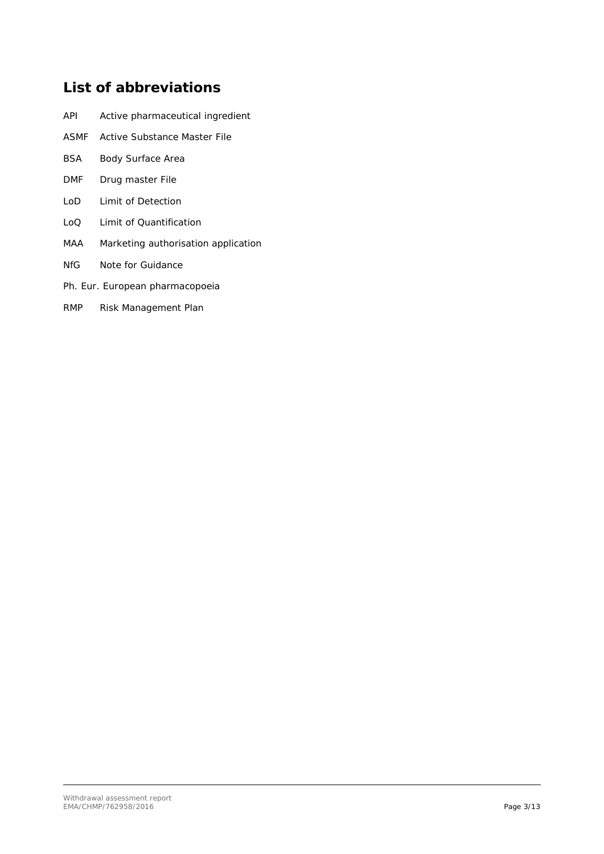# **List of abbreviations**

| API | Active pharmaceutical ingredient |  |
|-----|----------------------------------|--|
|     |                                  |  |

- ASMF Active Substance Master File
- BSA Body Surface Area
- DMF Drug master File
- LoD Limit of Detection
- LoQ Limit of Quantification
- MAA Marketing authorisation application
- NfG Note for Guidance
- Ph. Eur. European pharmacopoeia
- RMP Risk Management Plan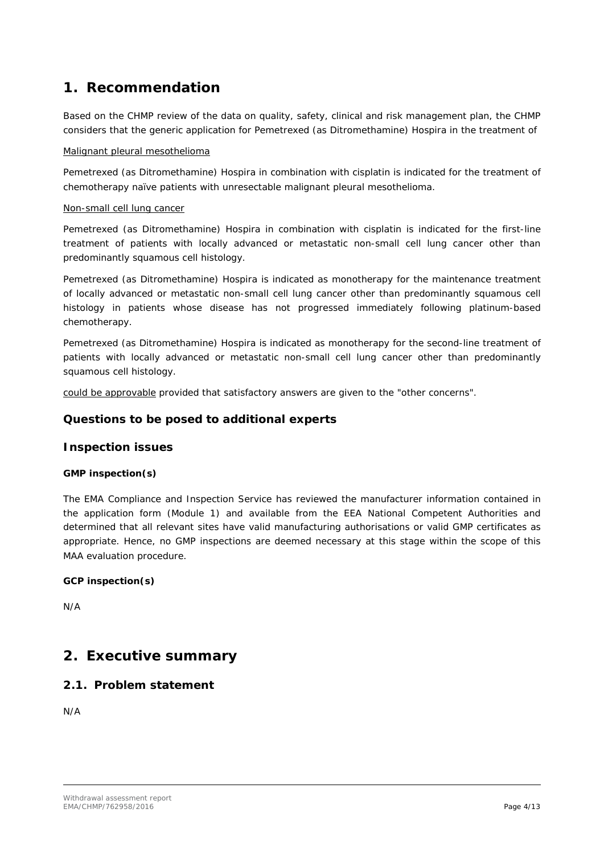# <span id="page-3-0"></span>**1. Recommendation**

Based on the CHMP review of the data on quality, safety, clinical and risk management plan, the CHMP considers that the generic application for Pemetrexed (as Ditromethamine) Hospira in the treatment of

#### Malignant pleural mesothelioma

Pemetrexed (as Ditromethamine) Hospira in combination with cisplatin is indicated for the treatment of chemotherapy naïve patients with unresectable malignant pleural mesothelioma.

#### Non-small cell lung cancer

Pemetrexed (as Ditromethamine) Hospira in combination with cisplatin is indicated for the first-line treatment of patients with locally advanced or metastatic non-small cell lung cancer other than predominantly squamous cell histology.

Pemetrexed (as Ditromethamine) Hospira is indicated as monotherapy for the maintenance treatment of locally advanced or metastatic non-small cell lung cancer other than predominantly squamous cell histology in patients whose disease has not progressed immediately following platinum-based chemotherapy.

Pemetrexed (as Ditromethamine) Hospira is indicated as monotherapy for the second-line treatment of patients with locally advanced or metastatic non-small cell lung cancer other than predominantly squamous cell histology.

could be approvable provided that satisfactory answers are given to the "other concerns".

## *Questions to be posed to additional experts*

## *Inspection issues*

#### **GMP inspection(s)**

The EMA Compliance and Inspection Service has reviewed the manufacturer information contained in the application form (Module 1) and available from the EEA National Competent Authorities and determined that all relevant sites have valid manufacturing authorisations or valid GMP certificates as appropriate. Hence, no GMP inspections are deemed necessary at this stage within the scope of this MAA evaluation procedure.

#### **GCP inspection(s)**

N/A

## <span id="page-3-1"></span>**2. Executive summary**

## <span id="page-3-2"></span>*2.1. Problem statement*

N/A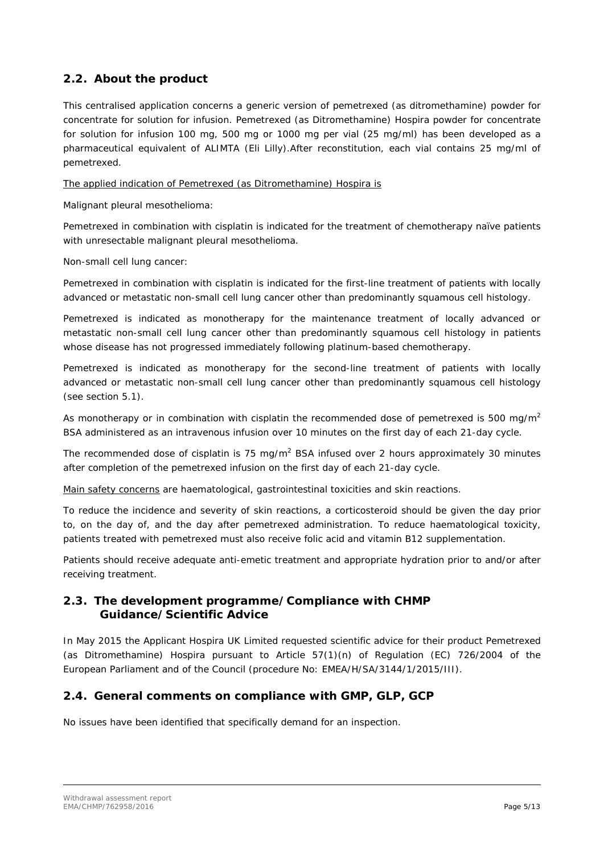## <span id="page-4-0"></span>*2.2. About the product*

This centralised application concerns a generic version of pemetrexed (as ditromethamine) powder for concentrate for solution for infusion. Pemetrexed (as Ditromethamine) Hospira powder for concentrate for solution for infusion 100 mg, 500 mg or 1000 mg per vial (25 mg/ml) has been developed as a pharmaceutical equivalent of ALIMTA (Eli Lilly).After reconstitution, each vial contains 25 mg/ml of pemetrexed.

The applied indication of Pemetrexed (as Ditromethamine) Hospira is

Malignant pleural mesothelioma:

Pemetrexed in combination with cisplatin is indicated for the treatment of chemotherapy naïve patients with unresectable malignant pleural mesothelioma.

Non-small cell lung cancer:

Pemetrexed in combination with cisplatin is indicated for the first-line treatment of patients with locally advanced or metastatic non-small cell lung cancer other than predominantly squamous cell histology.

Pemetrexed is indicated as monotherapy for the maintenance treatment of locally advanced or metastatic non-small cell lung cancer other than predominantly squamous cell histology in patients whose disease has not progressed immediately following platinum-based chemotherapy.

Pemetrexed is indicated as monotherapy for the second-line treatment of patients with locally advanced or metastatic non-small cell lung cancer other than predominantly squamous cell histology (see section 5.1).

As monotherapy or in combination with cisplatin the recommended dose of pemetrexed is 500 mg/m<sup>2</sup> BSA administered as an intravenous infusion over 10 minutes on the first day of each 21-day cycle.

The recommended dose of cisplatin is 75 mg/m<sup>2</sup> BSA infused over 2 hours approximately 30 minutes after completion of the pemetrexed infusion on the first day of each 21-day cycle.

Main safety concerns are haematological, gastrointestinal toxicities and skin reactions.

To reduce the incidence and severity of skin reactions, a corticosteroid should be given the day prior to, on the day of, and the day after pemetrexed administration. To reduce haematological toxicity, patients treated with pemetrexed must also receive folic acid and vitamin B12 supplementation.

Patients should receive adequate anti-emetic treatment and appropriate hydration prior to and/or after receiving treatment.

## <span id="page-4-1"></span>*2.3. The development programme/Compliance with CHMP Guidance/Scientific Advice*

In May 2015 the Applicant Hospira UK Limited requested scientific advice for their product Pemetrexed (as Ditromethamine) Hospira pursuant to Article 57(1)(n) of Regulation (EC) 726/2004 of the European Parliament and of the Council (procedure No: EMEA/H/SA/3144/1/2015/III).

## <span id="page-4-2"></span>*2.4. General comments on compliance with GMP, GLP, GCP*

No issues have been identified that specifically demand for an inspection.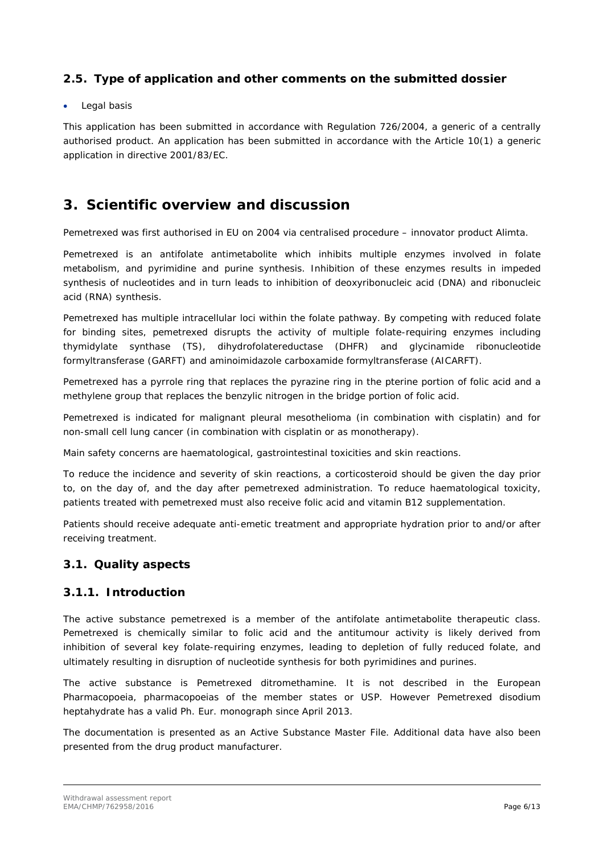## <span id="page-5-0"></span>*2.5. Type of application and other comments on the submitted dossier*

#### Legal basis

This application has been submitted in accordance with Regulation 726/2004, a generic of a centrally authorised product. An application has been submitted in accordance with the Article 10(1) a generic application in directive 2001/83/EC.

## <span id="page-5-1"></span>**3. Scientific overview and discussion**

Pemetrexed was first authorised in EU on 2004 via centralised procedure – innovator product Alimta.

Pemetrexed is an antifolate antimetabolite which inhibits multiple enzymes involved in folate metabolism, and pyrimidine and purine synthesis. Inhibition of these enzymes results in impeded synthesis of nucleotides and in turn leads to inhibition of deoxyribonucleic acid (DNA) and ribonucleic acid (RNA) synthesis.

Pemetrexed has multiple intracellular loci within the folate pathway. By competing with reduced folate for binding sites, pemetrexed disrupts the activity of multiple folate-requiring enzymes including thymidylate synthase (TS), dihydrofolatereductase (DHFR) and glycinamide ribonucleotide formyltransferase (GARFT) and aminoimidazole carboxamide formyltransferase (AICARFT).

Pemetrexed has a pyrrole ring that replaces the pyrazine ring in the pterine portion of folic acid and a methylene group that replaces the benzylic nitrogen in the bridge portion of folic acid.

Pemetrexed is indicated for malignant pleural mesothelioma (in combination with cisplatin) and for non-small cell lung cancer (in combination with cisplatin or as monotherapy).

Main safety concerns are haematological, gastrointestinal toxicities and skin reactions.

To reduce the incidence and severity of skin reactions, a corticosteroid should be given the day prior to, on the day of, and the day after pemetrexed administration. To reduce haematological toxicity, patients treated with pemetrexed must also receive folic acid and vitamin B12 supplementation.

Patients should receive adequate anti-emetic treatment and appropriate hydration prior to and/or after receiving treatment.

#### <span id="page-5-2"></span>*3.1. Quality aspects*

#### <span id="page-5-3"></span>**3.1.1. Introduction**

The active substance pemetrexed is a member of the antifolate antimetabolite therapeutic class. Pemetrexed is chemically similar to folic acid and the antitumour activity is likely derived from inhibition of several key folate-requiring enzymes, leading to depletion of fully reduced folate, and ultimately resulting in disruption of nucleotide synthesis for both pyrimidines and purines.

The active substance is Pemetrexed ditromethamine. It is not described in the European Pharmacopoeia, pharmacopoeias of the member states or USP. However Pemetrexed disodium heptahydrate has a valid Ph. Eur. monograph since April 2013.

The documentation is presented as an Active Substance Master File. Additional data have also been presented from the drug product manufacturer.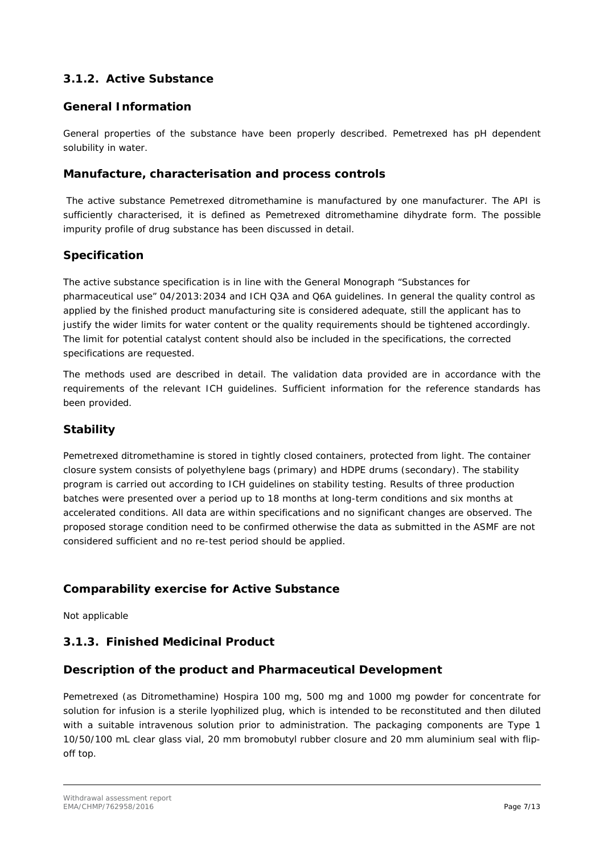## <span id="page-6-0"></span>**3.1.2. Active Substance**

### **General Information**

General properties of the substance have been properly described. Pemetrexed has pH dependent solubility in water.

#### **Manufacture, characterisation and process controls**

The active substance Pemetrexed ditromethamine is manufactured by one manufacturer. The API is sufficiently characterised, it is defined as Pemetrexed ditromethamine dihydrate form. The possible impurity profile of drug substance has been discussed in detail.

#### **Specification**

The active substance specification is in line with the General Monograph "Substances for pharmaceutical use" 04/2013:2034 and ICH Q3A and Q6A guidelines. In general the quality control as applied by the finished product manufacturing site is considered adequate, still the applicant has to justify the wider limits for water content or the quality requirements should be tightened accordingly. The limit for potential catalyst content should also be included in the specifications, the corrected specifications are requested.

The methods used are described in detail. The validation data provided are in accordance with the requirements of the relevant ICH guidelines. Sufficient information for the reference standards has been provided.

## **Stability**

Pemetrexed ditromethamine is stored in tightly closed containers, protected from light. The container closure system consists of polyethylene bags (primary) and HDPE drums (secondary). The stability program is carried out according to ICH guidelines on stability testing. Results of three production batches were presented over a period up to 18 months at long-term conditions and six months at accelerated conditions. All data are within specifications and no significant changes are observed. The proposed storage condition need to be confirmed otherwise the data as submitted in the ASMF are not considered sufficient and no re-test period should be applied.

#### **Comparability exercise for Active Substance**

Not applicable

### <span id="page-6-1"></span>**3.1.3. Finished Medicinal Product**

#### **Description of the product and Pharmaceutical Development**

Pemetrexed (as Ditromethamine) Hospira 100 mg, 500 mg and 1000 mg powder for concentrate for solution for infusion is a sterile lyophilized plug, which is intended to be reconstituted and then diluted with a suitable intravenous solution prior to administration. The packaging components are Type 1 10/50/100 mL clear glass vial, 20 mm bromobutyl rubber closure and 20 mm aluminium seal with flipoff top.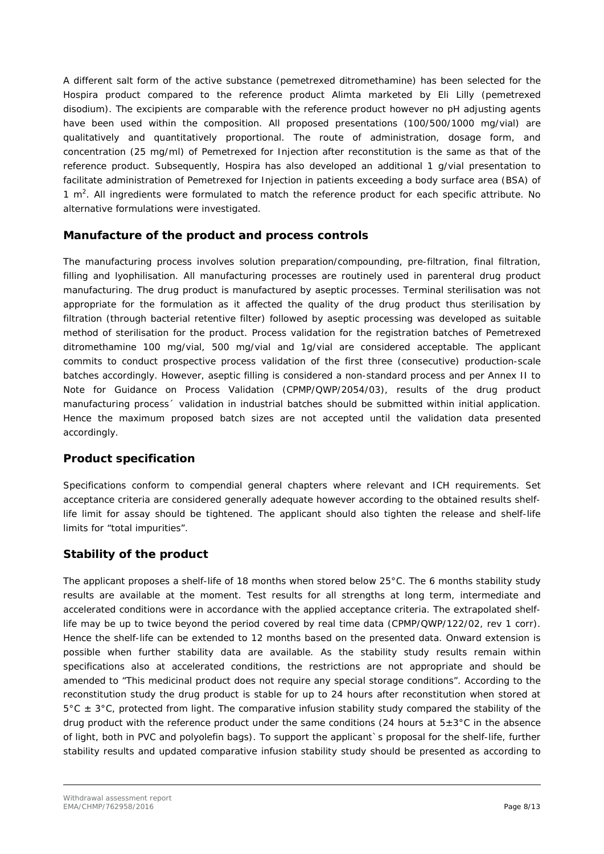A different salt form of the active substance (pemetrexed ditromethamine) has been selected for the Hospira product compared to the reference product Alimta marketed by Eli Lilly (pemetrexed disodium). The excipients are comparable with the reference product however no pH adjusting agents have been used within the composition. All proposed presentations (100/500/1000 mg/vial) are qualitatively and quantitatively proportional. The route of administration, dosage form, and concentration (25 mg/ml) of Pemetrexed for Injection after reconstitution is the same as that of the reference product. Subsequently, Hospira has also developed an additional 1 g/vial presentation to facilitate administration of Pemetrexed for Injection in patients exceeding a body surface area (BSA) of 1  $m<sup>2</sup>$ . All ingredients were formulated to match the reference product for each specific attribute. No alternative formulations were investigated.

### **Manufacture of the product and process controls**

The manufacturing process involves solution preparation/compounding, pre-filtration, final filtration, filling and lyophilisation. All manufacturing processes are routinely used in parenteral drug product manufacturing. The drug product is manufactured by aseptic processes. Terminal sterilisation was not appropriate for the formulation as it affected the quality of the drug product thus sterilisation by filtration (through bacterial retentive filter) followed by aseptic processing was developed as suitable method of sterilisation for the product. Process validation for the registration batches of Pemetrexed ditromethamine 100 mg/vial, 500 mg/vial and 1g/vial are considered acceptable. The applicant commits to conduct prospective process validation of the first three (consecutive) production-scale batches accordingly. However, aseptic filling is considered a non-standard process and per Annex II to Note for Guidance on Process Validation (CPMP/QWP/2054/03), results of the drug product manufacturing process´ validation in industrial batches should be submitted within initial application. Hence the maximum proposed batch sizes are not accepted until the validation data presented accordingly.

## **Product specification**

Specifications conform to compendial general chapters where relevant and ICH requirements. Set acceptance criteria are considered generally adequate however according to the obtained results shelflife limit for assay should be tightened. The applicant should also tighten the release and shelf-life limits for "total impurities".

## **Stability of the product**

The applicant proposes a shelf-life of 18 months when stored below 25°C. The 6 months stability study results are available at the moment. Test results for all strengths at long term, intermediate and accelerated conditions were in accordance with the applied acceptance criteria. The extrapolated shelflife may be up to twice beyond the period covered by real time data (CPMP/QWP/122/02, rev 1 corr). Hence the shelf-life can be extended to 12 months based on the presented data. Onward extension is possible when further stability data are available. As the stability study results remain within specifications also at accelerated conditions, the restrictions are not appropriate and should be amended to "This medicinal product does not require any special storage conditions". According to the reconstitution study the drug product is stable for up to 24 hours after reconstitution when stored at  $5^{\circ}$ C  $\pm$  3°C, protected from light. The comparative infusion stability study compared the stability of the drug product with the reference product under the same conditions (24 hours at  $5\pm3^{\circ}$ C in the absence of light, both in PVC and polyolefin bags). To support the applicant`s proposal for the shelf-life, further stability results and updated comparative infusion stability study should be presented as according to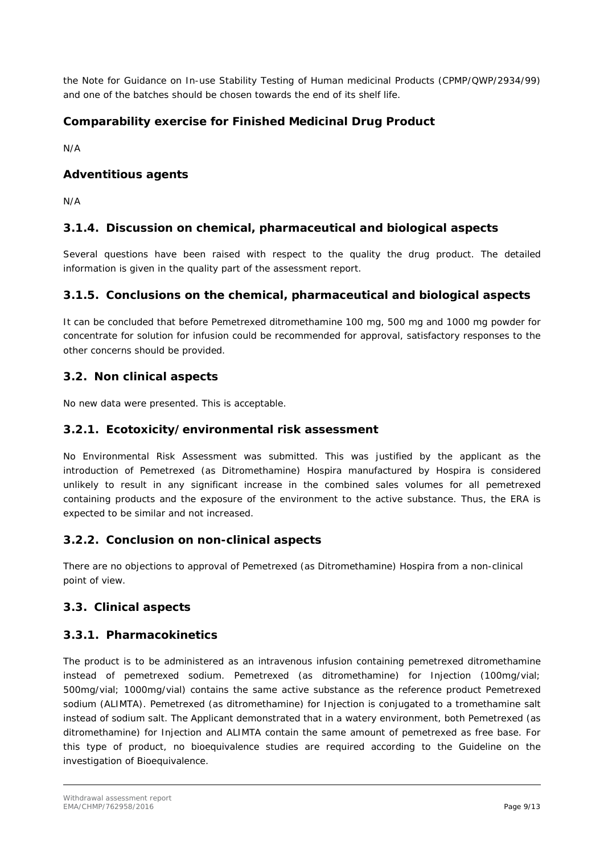the Note for Guidance on In-use Stability Testing of Human medicinal Products (CPMP/QWP/2934/99) and one of the batches should be chosen towards the end of its shelf life.

## **Comparability exercise for Finished Medicinal Drug Product**

N/A

### **Adventitious agents**

N/A

### <span id="page-8-0"></span>**3.1.4. Discussion on chemical, pharmaceutical and biological aspects**

Several questions have been raised with respect to the quality the drug product. The detailed information is given in the quality part of the assessment report.

#### <span id="page-8-1"></span>**3.1.5. Conclusions on the chemical, pharmaceutical and biological aspects**

It can be concluded that before Pemetrexed ditromethamine 100 mg, 500 mg and 1000 mg powder for concentrate for solution for infusion could be recommended for approval, satisfactory responses to the other concerns should be provided.

#### <span id="page-8-2"></span>*3.2. Non clinical aspects*

No new data were presented. This is acceptable.

#### <span id="page-8-3"></span>**3.2.1. Ecotoxicity/environmental risk assessment**

No Environmental Risk Assessment was submitted. This was justified by the applicant as the introduction of Pemetrexed (as Ditromethamine) Hospira manufactured by Hospira is considered unlikely to result in any significant increase in the combined sales volumes for all pemetrexed containing products and the exposure of the environment to the active substance. Thus, the ERA is expected to be similar and not increased.

#### <span id="page-8-4"></span>**3.2.2. Conclusion on non-clinical aspects**

There are no objections to approval of Pemetrexed (as Ditromethamine) Hospira from a non-clinical point of view.

#### <span id="page-8-5"></span>*3.3. Clinical aspects*

#### <span id="page-8-6"></span>**3.3.1. Pharmacokinetics**

The product is to be administered as an intravenous infusion containing pemetrexed ditromethamine instead of pemetrexed sodium. Pemetrexed (as ditromethamine) for Injection (100mg/vial; 500mg/vial; 1000mg/vial) contains the same active substance as the reference product Pemetrexed sodium (ALIMTA). Pemetrexed (as ditromethamine) for Injection is conjugated to a tromethamine salt instead of sodium salt. The Applicant demonstrated that in a watery environment, both Pemetrexed (as ditromethamine) for Injection and ALIMTA contain the same amount of pemetrexed as free base. For this type of product, no bioequivalence studies are required according to the Guideline on the investigation of Bioequivalence.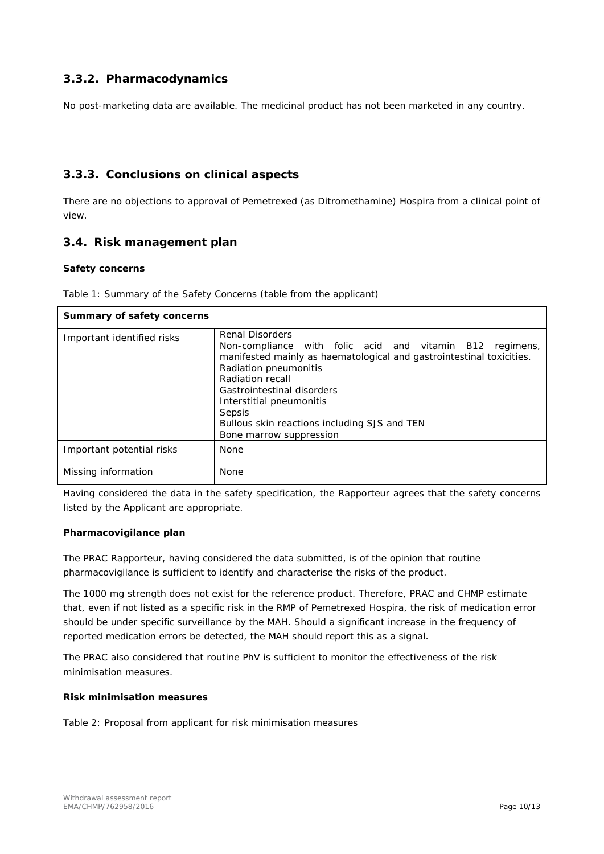## <span id="page-9-0"></span>**3.3.2. Pharmacodynamics**

No post-marketing data are available. The medicinal product has not been marketed in any country.

### <span id="page-9-1"></span>**3.3.3. Conclusions on clinical aspects**

There are no objections to approval of Pemetrexed (as Ditromethamine) Hospira from a clinical point of view.

## <span id="page-9-2"></span>*3.4. Risk management plan*

#### *Safety concerns*

Table 1: Summary of the Safety Concerns (table from the applicant)

| Summary of safety concerns |                                                                                                                                                                                                                                                                                                                                                        |  |  |  |
|----------------------------|--------------------------------------------------------------------------------------------------------------------------------------------------------------------------------------------------------------------------------------------------------------------------------------------------------------------------------------------------------|--|--|--|
| Important identified risks | <b>Renal Disorders</b><br>Non-compliance with folic acid and vitamin B12 regimens,<br>manifested mainly as haematological and gastrointestinal toxicities.<br>Radiation pneumonitis<br>Radiation recall<br>Gastrointestinal disorders<br>Interstitial pneumonitis<br>Sepsis<br>Bullous skin reactions including SJS and TEN<br>Bone marrow suppression |  |  |  |
| Important potential risks  | None                                                                                                                                                                                                                                                                                                                                                   |  |  |  |
| Missing information        | None                                                                                                                                                                                                                                                                                                                                                   |  |  |  |

Having considered the data in the safety specification, the Rapporteur agrees that the safety concerns listed by the Applicant are appropriate.

#### *Pharmacovigilance plan*

The PRAC Rapporteur, having considered the data submitted, is of the opinion that routine pharmacovigilance is sufficient to identify and characterise the risks of the product.

The 1000 mg strength does not exist for the reference product. Therefore, PRAC and CHMP estimate that, even if not listed as a specific risk in the RMP of Pemetrexed Hospira, the risk of medication error should be under specific surveillance by the MAH. Should a significant increase in the frequency of reported medication errors be detected, the MAH should report this as a signal.

The PRAC also considered that routine PhV is sufficient to monitor the effectiveness of the risk minimisation measures.

#### *Risk minimisation measures*

Table 2: Proposal from applicant for risk minimisation measures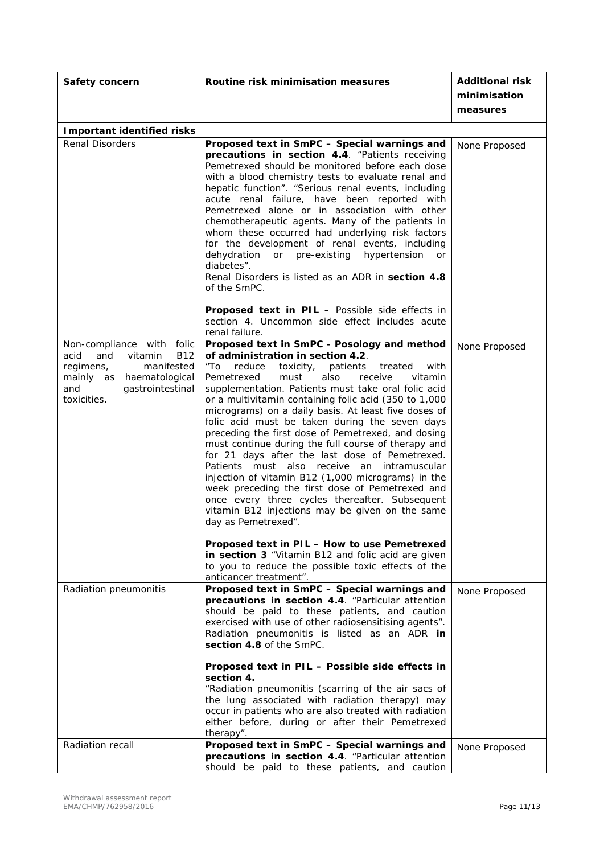| Safety concern                                                                                                                                                     | Routine risk minimisation measures                                                                                                                                                                                                                                                                                                                                                                                                                                                                                                                                                                                                                                                                                                                                                                                                                                                                                                                                                                                                                                | <b>Additional risk</b><br>minimisation<br>measures |
|--------------------------------------------------------------------------------------------------------------------------------------------------------------------|-------------------------------------------------------------------------------------------------------------------------------------------------------------------------------------------------------------------------------------------------------------------------------------------------------------------------------------------------------------------------------------------------------------------------------------------------------------------------------------------------------------------------------------------------------------------------------------------------------------------------------------------------------------------------------------------------------------------------------------------------------------------------------------------------------------------------------------------------------------------------------------------------------------------------------------------------------------------------------------------------------------------------------------------------------------------|----------------------------------------------------|
| <b>Important identified risks</b>                                                                                                                                  |                                                                                                                                                                                                                                                                                                                                                                                                                                                                                                                                                                                                                                                                                                                                                                                                                                                                                                                                                                                                                                                                   |                                                    |
| <b>Renal Disorders</b>                                                                                                                                             | Proposed text in SmPC - Special warnings and<br>precautions in section 4.4. "Patients receiving<br>Pemetrexed should be monitored before each dose<br>with a blood chemistry tests to evaluate renal and<br>hepatic function". "Serious renal events, including<br>acute renal failure, have been reported with<br>Pemetrexed alone or in association with other<br>chemotherapeutic agents. Many of the patients in<br>whom these occurred had underlying risk factors<br>for the development of renal events, including<br>dehydration<br>or pre-existing hypertension<br><b>or</b><br>diabetes".<br>Renal Disorders is listed as an ADR in section 4.8<br>of the SmPC.<br>Proposed text in PIL - Possible side effects in<br>section 4. Uncommon side effect includes acute<br>renal failure.                                                                                                                                                                                                                                                                  | None Proposed                                      |
| Non-compliance with folic<br><b>B12</b><br>acid<br>and<br>vitamin<br>manifested<br>regimens,<br>mainly as haematological<br>gastrointestinal<br>and<br>toxicities. | Proposed text in SmPC - Posology and method<br>of administration in section 4.2.<br>"To<br>reduce<br>toxicity, patients<br>treated<br>with<br>Pemetrexed<br>must<br>also<br>receive<br>vitamin<br>supplementation. Patients must take oral folic acid<br>or a multivitamin containing folic acid (350 to 1,000<br>micrograms) on a daily basis. At least five doses of<br>folic acid must be taken during the seven days<br>preceding the first dose of Pemetrexed, and dosing<br>must continue during the full course of therapy and<br>for 21 days after the last dose of Pemetrexed.<br>Patients must also receive an intramuscular<br>injection of vitamin B12 (1,000 micrograms) in the<br>week preceding the first dose of Pemetrexed and<br>once every three cycles thereafter. Subsequent<br>vitamin B12 injections may be given on the same<br>day as Pemetrexed".<br>Proposed text in PIL - How to use Pemetrexed<br>in section 3 "Vitamin B12 and folic acid are given<br>to you to reduce the possible toxic effects of the<br>anticancer treatment". | None Proposed                                      |
| Radiation pneumonitis                                                                                                                                              | Proposed text in SmPC - Special warnings and<br>precautions in section 4.4. "Particular attention<br>should be paid to these patients, and caution<br>exercised with use of other radiosensitising agents".<br>Radiation pneumonitis is listed as an ADR in<br>section 4.8 of the SmPC.<br>Proposed text in PIL - Possible side effects in<br>section 4.<br>"Radiation pneumonitis (scarring of the air sacs of<br>the lung associated with radiation therapy) may<br>occur in patients who are also treated with radiation<br>either before, during or after their Pemetrexed<br>therapy".                                                                                                                                                                                                                                                                                                                                                                                                                                                                       | None Proposed                                      |
| Radiation recall                                                                                                                                                   | Proposed text in SmPC - Special warnings and<br>precautions in section 4.4. "Particular attention<br>should be paid to these patients, and caution                                                                                                                                                                                                                                                                                                                                                                                                                                                                                                                                                                                                                                                                                                                                                                                                                                                                                                                | None Proposed                                      |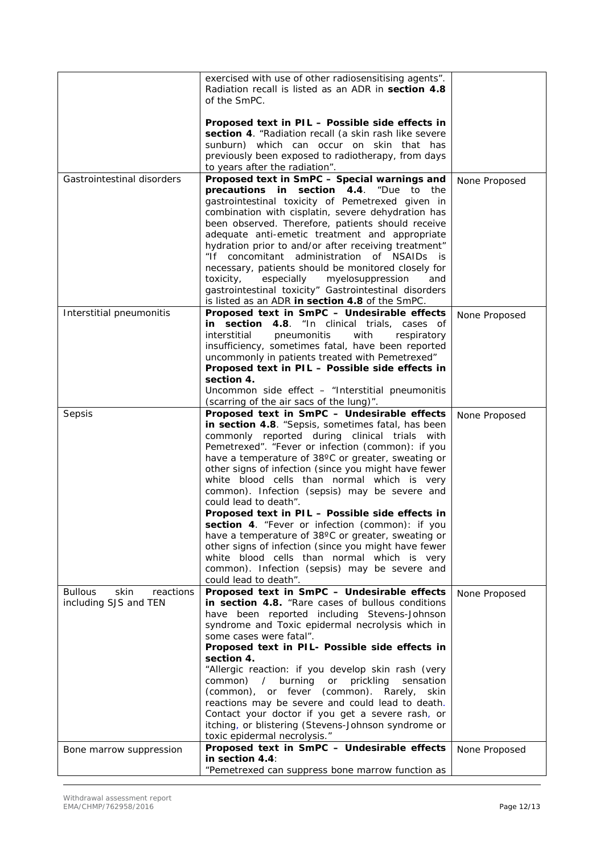|                                     | exercised with use of other radiosensitising agents". |               |
|-------------------------------------|-------------------------------------------------------|---------------|
|                                     | Radiation recall is listed as an ADR in section 4.8   |               |
|                                     | of the SmPC.                                          |               |
|                                     |                                                       |               |
|                                     | Proposed text in PIL - Possible side effects in       |               |
|                                     | section 4. "Radiation recall (a skin rash like severe |               |
|                                     | sunburn) which can occur on skin that has             |               |
|                                     | previously been exposed to radiotherapy, from days    |               |
|                                     | to years after the radiation".                        |               |
| Gastrointestinal disorders          | Proposed text in SmPC - Special warnings and          | None Proposed |
|                                     | precautions in<br>section 4.4.<br>"Due to the         |               |
|                                     | gastrointestinal toxicity of Pemetrexed given in      |               |
|                                     | combination with cisplatin, severe dehydration has    |               |
|                                     | been observed. Therefore, patients should receive     |               |
|                                     | adequate anti-emetic treatment and appropriate        |               |
|                                     | hydration prior to and/or after receiving treatment"  |               |
|                                     | "If concomitant administration of NSAIDs is           |               |
|                                     | necessary, patients should be monitored closely for   |               |
|                                     | toxicity,<br>myelosuppression<br>especially<br>and    |               |
|                                     | gastrointestinal toxicity" Gastrointestinal disorders |               |
|                                     | is listed as an ADR in section 4.8 of the SmPC.       |               |
| Interstitial pneumonitis            | Proposed text in SmPC - Undesirable effects           |               |
|                                     | in section 4.8. "In clinical trials, cases of         | None Proposed |
|                                     | interstitial<br>pneumonitis<br>with<br>respiratory    |               |
|                                     | insufficiency, sometimes fatal, have been reported    |               |
|                                     | uncommonly in patients treated with Pemetrexed"       |               |
|                                     | Proposed text in PIL - Possible side effects in       |               |
|                                     | section 4.                                            |               |
|                                     | Uncommon side effect - "Interstitial pneumonitis      |               |
|                                     | (scarring of the air sacs of the lung)".              |               |
| Sepsis                              | Proposed text in SmPC - Undesirable effects           |               |
|                                     | in section 4.8. "Sepsis, sometimes fatal, has been    | None Proposed |
|                                     | commonly reported during clinical trials with         |               |
|                                     | Pemetrexed". "Fever or infection (common): if you     |               |
|                                     | have a temperature of 38°C or greater, sweating or    |               |
|                                     | other signs of infection (since you might have fewer  |               |
|                                     | white blood cells than normal which is very           |               |
|                                     | common). Infection (sepsis) may be severe and         |               |
|                                     | could lead to death".                                 |               |
|                                     | Proposed text in PIL - Possible side effects in       |               |
|                                     | section 4. "Fever or infection (common): if you       |               |
|                                     | have a temperature of 38°C or greater, sweating or    |               |
|                                     | other signs of infection (since you might have fewer  |               |
|                                     | white blood cells than normal which is very           |               |
|                                     | common). Infection (sepsis) may be severe and         |               |
|                                     | could lead to death".                                 |               |
| skin<br><b>Bullous</b><br>reactions | Proposed text in SmPC - Undesirable effects           | None Proposed |
| including SJS and TEN               | in section 4.8. "Rare cases of bullous conditions     |               |
|                                     | have been reported including Stevens-Johnson          |               |
|                                     | syndrome and Toxic epidermal necrolysis which in      |               |
|                                     | some cases were fatal".                               |               |
|                                     | Proposed text in PIL- Possible side effects in        |               |
|                                     | section 4.                                            |               |
|                                     | "Allergic reaction: if you develop skin rash (very    |               |
|                                     | common) / burning or<br>prickling<br>sensation        |               |
|                                     | (common), or fever (common). Rarely, skin             |               |
|                                     | reactions may be severe and could lead to death.      |               |
|                                     | Contact your doctor if you get a severe rash, or      |               |
|                                     | itching, or blistering (Stevens-Johnson syndrome or   |               |
|                                     | toxic epidermal necrolysis."                          |               |
| Bone marrow suppression             | Proposed text in SmPC - Undesirable effects           | None Proposed |
|                                     | in section $4.4$ :                                    |               |
|                                     | "Pemetrexed can suppress bone marrow function as      |               |